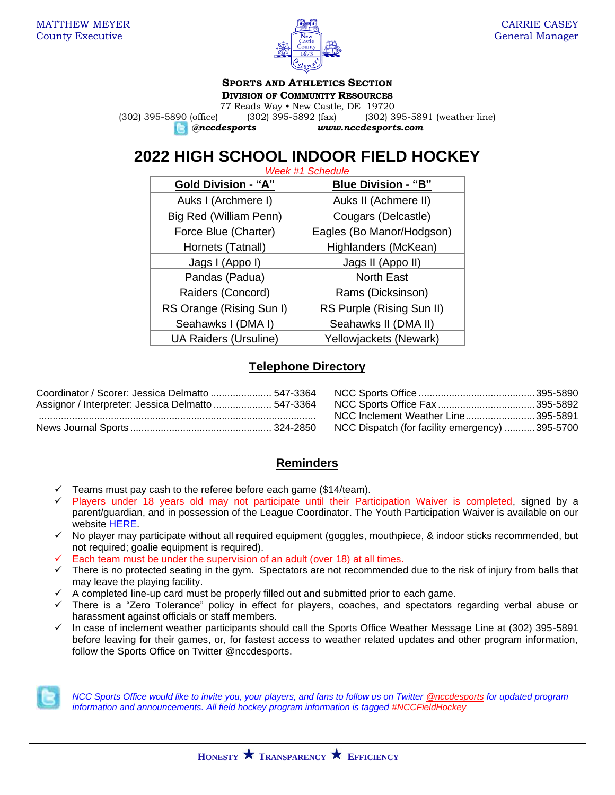

#### **SPORTS AND ATHLETICS SECTION DIVISION OF COMMUNITY RESOURCES**

77 Reads Way • New Castle, DE 19720 (302) 395-5890 (office) (302) 395-5892 (fax) (302) 395-5891 (weather line) *@nccdesports www.nccdesports.com*

# **2022 HIGH SCHOOL INDOOR FIELD HOCKEY**

| <b>Week #1 Schedule</b>      |                            |  |  |  |
|------------------------------|----------------------------|--|--|--|
| <b>Gold Division - "A"</b>   | <b>Blue Division - "B"</b> |  |  |  |
| Auks I (Archmere I)          | Auks II (Achmere II)       |  |  |  |
| Big Red (William Penn)       | Cougars (Delcastle)        |  |  |  |
| Force Blue (Charter)         | Eagles (Bo Manor/Hodgson)  |  |  |  |
| Hornets (Tatnall)            | Highlanders (McKean)       |  |  |  |
| Jags I (Appo I)              | Jags II (Appo II)          |  |  |  |
| Pandas (Padua)               | <b>North East</b>          |  |  |  |
| Raiders (Concord)            | Rams (Dicksinson)          |  |  |  |
| RS Orange (Rising Sun I)     | RS Purple (Rising Sun II)  |  |  |  |
| Seahawks I (DMA I)           | Seahawks II (DMA II)       |  |  |  |
| <b>UA Raiders (Ursuline)</b> | Yellowjackets (Newark)     |  |  |  |

# **Telephone Directory**

| Coordinator / Scorer: Jessica Delmatto  547-3364   |                                                |  |
|----------------------------------------------------|------------------------------------------------|--|
| Assignor / Interpreter: Jessica Delmatto  547-3364 |                                                |  |
|                                                    | NCC Inclement Weather Line395-5891             |  |
|                                                    | NCC Dispatch (for facility emergency) 395-5700 |  |

# **Reminders**

- Teams must pay cash to the referee before each game (\$14/team).
- ✓ Players under 18 years old may not participate until their Participation Waiver is completed, signed by a parent/guardian, and in possession of the League Coordinator. The Youth Participation Waiver is available on our website [HERE.](https://www.newcastlede.gov/DocumentCenter/View/1531/Youth-Waiver?bidId=)
- ✓ No player may participate without all required equipment (goggles, mouthpiece, & indoor sticks recommended, but not required; goalie equipment is required).
- Each team must be under the supervision of an adult (over 18) at all times.
- $\checkmark$  There is no protected seating in the gym. Spectators are not recommended due to the risk of injury from balls that may leave the playing facility.
- ✓ A completed line-up card must be properly filled out and submitted prior to each game.
- ✓ There is a "Zero Tolerance" policy in effect for players, coaches, and spectators regarding verbal abuse or harassment against officials or staff members.
- ✓ In case of inclement weather participants should call the Sports Office Weather Message Line at (302) 395-5891 before leaving for their games, or, for fastest access to weather related updates and other program information, follow the Sports Office on Twitter @nccdesports.



*NCC Sports Office would like to invite you, your players, and fans to follow us on Twitter [@nccdesports](http://www.twitter.com/nccdesports) for updated program information and announcements. All field hockey program information is tagged #NCCFieldHockey*